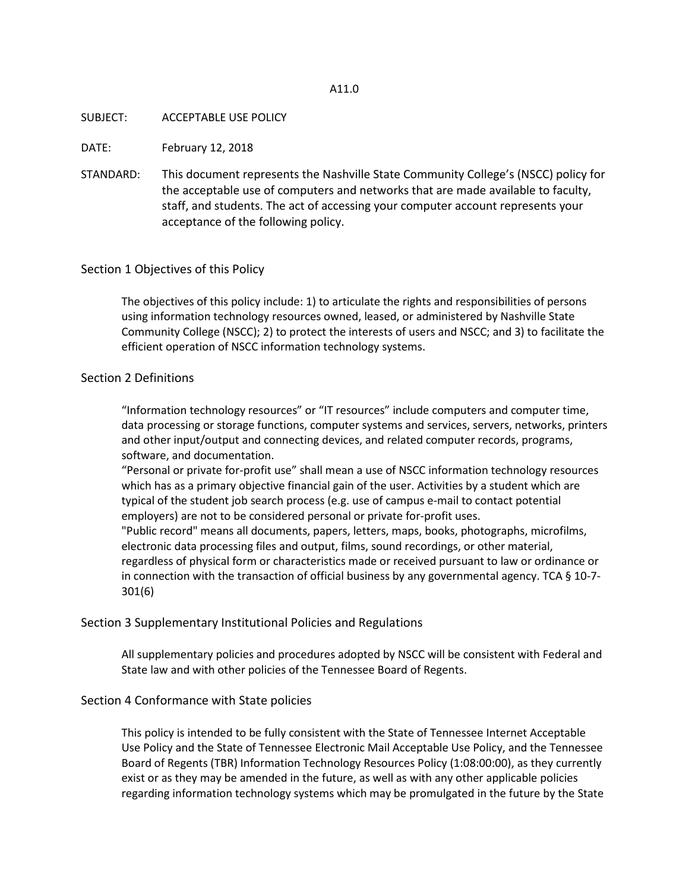#### A11.0

#### SUBJECT: ACCEPTABLE USE POLICY

DATE: February 12, 2018

STANDARD: This document represents the Nashville State Community College's (NSCC) policy for the acceptable use of computers and networks that are made available to faculty, staff, and students. The act of accessing your computer account represents your acceptance of the following policy.

### Section 1 Objectives of this Policy

The objectives of this policy include: 1) to articulate the rights and responsibilities of persons using information technology resources owned, leased, or administered by Nashville State Community College (NSCC); 2) to protect the interests of users and NSCC; and 3) to facilitate the efficient operation of NSCC information technology systems.

#### Section 2 Definitions

"Information technology resources" or "IT resources" include computers and computer time, data processing or storage functions, computer systems and services, servers, networks, printers and other input/output and connecting devices, and related computer records, programs, software, and documentation.

"Personal or private for-profit use" shall mean a use of NSCC information technology resources which has as a primary objective financial gain of the user. Activities by a student which are typical of the student job search process (e.g. use of campus e-mail to contact potential employers) are not to be considered personal or private for-profit uses.

"Public record" means all documents, papers, letters, maps, books, photographs, microfilms, electronic data processing files and output, films, sound recordings, or other material, regardless of physical form or characteristics made or received pursuant to law or ordinance or in connection with the transaction of official business by any governmental agency. TCA § 10-7- 301(6)

#### Section 3 Supplementary Institutional Policies and Regulations

All supplementary policies and procedures adopted by NSCC will be consistent with Federal and State law and with other policies of the Tennessee Board of Regents.

### Section 4 Conformance with State policies

This policy is intended to be fully consistent with the State of Tennessee Internet Acceptable Use Policy and the State of Tennessee Electronic Mail Acceptable Use Policy, and the Tennessee Board of Regents (TBR) Information Technology Resources Policy (1:08:00:00), as they currently exist or as they may be amended in the future, as well as with any other applicable policies regarding information technology systems which may be promulgated in the future by the State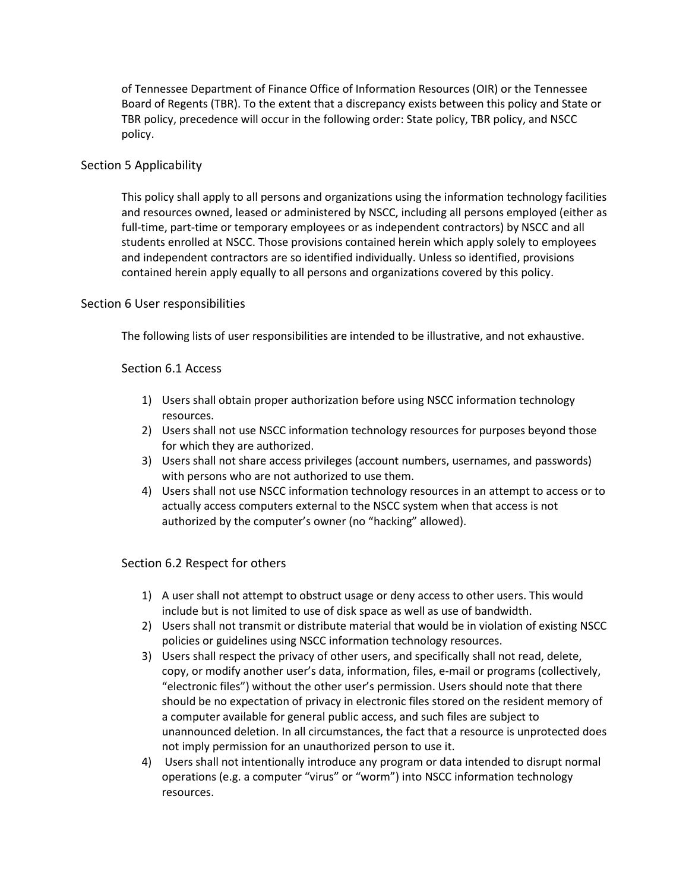of Tennessee Department of Finance Office of Information Resources (OIR) or the Tennessee Board of Regents (TBR). To the extent that a discrepancy exists between this policy and State or TBR policy, precedence will occur in the following order: State policy, TBR policy, and NSCC policy.

### Section 5 Applicability

This policy shall apply to all persons and organizations using the information technology facilities and resources owned, leased or administered by NSCC, including all persons employed (either as full-time, part-time or temporary employees or as independent contractors) by NSCC and all students enrolled at NSCC. Those provisions contained herein which apply solely to employees and independent contractors are so identified individually. Unless so identified, provisions contained herein apply equally to all persons and organizations covered by this policy.

## Section 6 User responsibilities

The following lists of user responsibilities are intended to be illustrative, and not exhaustive.

### Section 6.1 Access

- 1) Users shall obtain proper authorization before using NSCC information technology resources.
- 2) Users shall not use NSCC information technology resources for purposes beyond those for which they are authorized.
- 3) Users shall not share access privileges (account numbers, usernames, and passwords) with persons who are not authorized to use them.
- 4) Users shall not use NSCC information technology resources in an attempt to access or to actually access computers external to the NSCC system when that access is not authorized by the computer's owner (no "hacking" allowed).

### Section 6.2 Respect for others

- 1) A user shall not attempt to obstruct usage or deny access to other users. This would include but is not limited to use of disk space as well as use of bandwidth.
- 2) Users shall not transmit or distribute material that would be in violation of existing NSCC policies or guidelines using NSCC information technology resources.
- 3) Users shall respect the privacy of other users, and specifically shall not read, delete, copy, or modify another user's data, information, files, e-mail or programs (collectively, "electronic files") without the other user's permission. Users should note that there should be no expectation of privacy in electronic files stored on the resident memory of a computer available for general public access, and such files are subject to unannounced deletion. In all circumstances, the fact that a resource is unprotected does not imply permission for an unauthorized person to use it.
- 4) Users shall not intentionally introduce any program or data intended to disrupt normal operations (e.g. a computer "virus" or "worm") into NSCC information technology resources.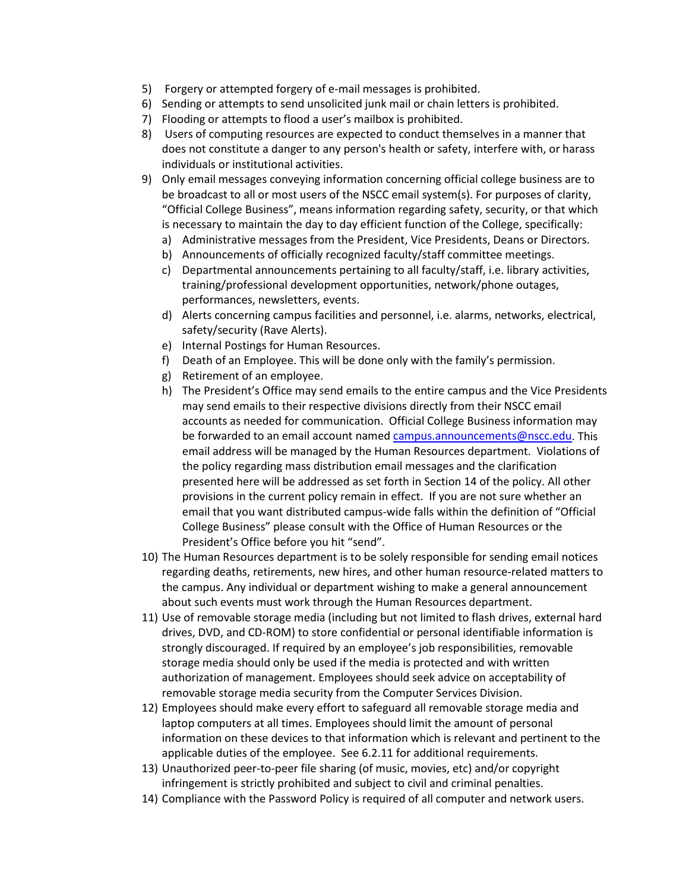- 5) Forgery or attempted forgery of e-mail messages is prohibited.
- 6) Sending or attempts to send unsolicited junk mail or chain letters is prohibited.
- 7) Flooding or attempts to flood a user's mailbox is prohibited.
- 8) Users of computing resources are expected to conduct themselves in a manner that does not constitute a danger to any person's health or safety, interfere with, or harass individuals or institutional activities.
- 9) Only email messages conveying information concerning official college business are to be broadcast to all or most users of the NSCC email system(s). For purposes of clarity, "Official College Business", means information regarding safety, security, or that which is necessary to maintain the day to day efficient function of the College, specifically:
	- a) Administrative messages from the President, Vice Presidents, Deans or Directors.
	- b) Announcements of officially recognized faculty/staff committee meetings.
	- c) Departmental announcements pertaining to all faculty/staff, i.e. library activities, training/professional development opportunities, network/phone outages, performances, newsletters, events.
	- d) Alerts concerning campus facilities and personnel, i.e. alarms, networks, electrical, safety/security (Rave Alerts).
	- e) Internal Postings for Human Resources.
	- f) Death of an Employee. This will be done only with the family's permission.
	- g) Retirement of an employee.
	- h) The President's Office may send emails to the entire campus and the Vice Presidents may send emails to their respective divisions directly from their NSCC email accounts as needed for communication. Official College Business information may be forwarded to an email account named [campus.announcements@nscc.edu.](mailto:campus.announcements@nscc.edu) This email address will be managed by the Human Resources department. Violations of the policy regarding mass distribution email messages and the clarification presented here will be addressed as set forth in Section 14 of the policy. All other provisions in the current policy remain in effect. If you are not sure whether an email that you want distributed campus-wide falls within the definition of "Official College Business" please consult with the Office of Human Resources or the President's Office before you hit "send".
- 10) The Human Resources department is to be solely responsible for sending email notices regarding deaths, retirements, new hires, and other human resource-related matters to the campus. Any individual or department wishing to make a general announcement about such events must work through the Human Resources department.
- 11) Use of removable storage media (including but not limited to flash drives, external hard drives, DVD, and CD-ROM) to store confidential or personal identifiable information is strongly discouraged. If required by an employee's job responsibilities, removable storage media should only be used if the media is protected and with written authorization of management. Employees should seek advice on acceptability of removable storage media security from the Computer Services Division.
- 12) Employees should make every effort to safeguard all removable storage media and laptop computers at all times. Employees should limit the amount of personal information on these devices to that information which is relevant and pertinent to the applicable duties of the employee. See 6.2.11 for additional requirements.
- 13) Unauthorized peer-to-peer file sharing (of music, movies, etc) and/or copyright infringement is strictly prohibited and subject to civil and criminal penalties.
- 14) Compliance with the Password Policy is required of all computer and network users.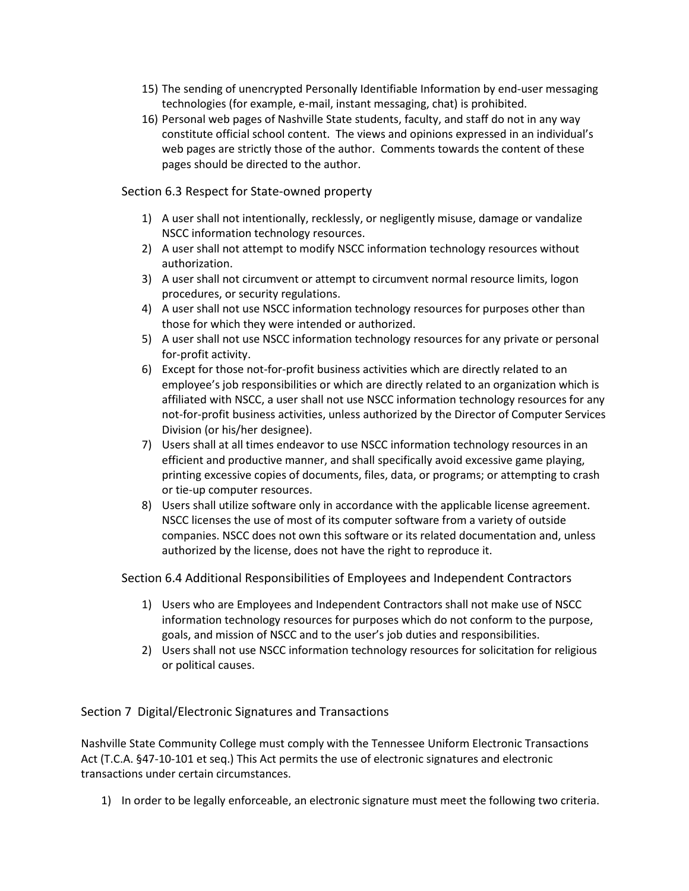- 15) The sending of unencrypted Personally Identifiable Information by end-user messaging technologies (for example, e-mail, instant messaging, chat) is prohibited.
- 16) Personal web pages of Nashville State students, faculty, and staff do not in any way constitute official school content. The views and opinions expressed in an individual's web pages are strictly those of the author. Comments towards the content of these pages should be directed to the author.

# Section 6.3 Respect for State-owned property

- 1) A user shall not intentionally, recklessly, or negligently misuse, damage or vandalize NSCC information technology resources.
- 2) A user shall not attempt to modify NSCC information technology resources without authorization.
- 3) A user shall not circumvent or attempt to circumvent normal resource limits, logon procedures, or security regulations.
- 4) A user shall not use NSCC information technology resources for purposes other than those for which they were intended or authorized.
- 5) A user shall not use NSCC information technology resources for any private or personal for-profit activity.
- 6) Except for those not-for-profit business activities which are directly related to an employee's job responsibilities or which are directly related to an organization which is affiliated with NSCC, a user shall not use NSCC information technology resources for any not-for-profit business activities, unless authorized by the Director of Computer Services Division (or his/her designee).
- 7) Users shall at all times endeavor to use NSCC information technology resources in an efficient and productive manner, and shall specifically avoid excessive game playing, printing excessive copies of documents, files, data, or programs; or attempting to crash or tie-up computer resources.
- 8) Users shall utilize software only in accordance with the applicable license agreement. NSCC licenses the use of most of its computer software from a variety of outside companies. NSCC does not own this software or its related documentation and, unless authorized by the license, does not have the right to reproduce it.

Section 6.4 Additional Responsibilities of Employees and Independent Contractors

- 1) Users who are Employees and Independent Contractors shall not make use of NSCC information technology resources for purposes which do not conform to the purpose, goals, and mission of NSCC and to the user's job duties and responsibilities.
- 2) Users shall not use NSCC information technology resources for solicitation for religious or political causes.

# Section 7 Digital/Electronic Signatures and Transactions

Nashville State Community College must comply with the Tennessee Uniform Electronic Transactions Act (T.C.A. §47-10-101 et seq.) This Act permits the use of electronic signatures and electronic transactions under certain circumstances.

1) In order to be legally enforceable, an electronic signature must meet the following two criteria.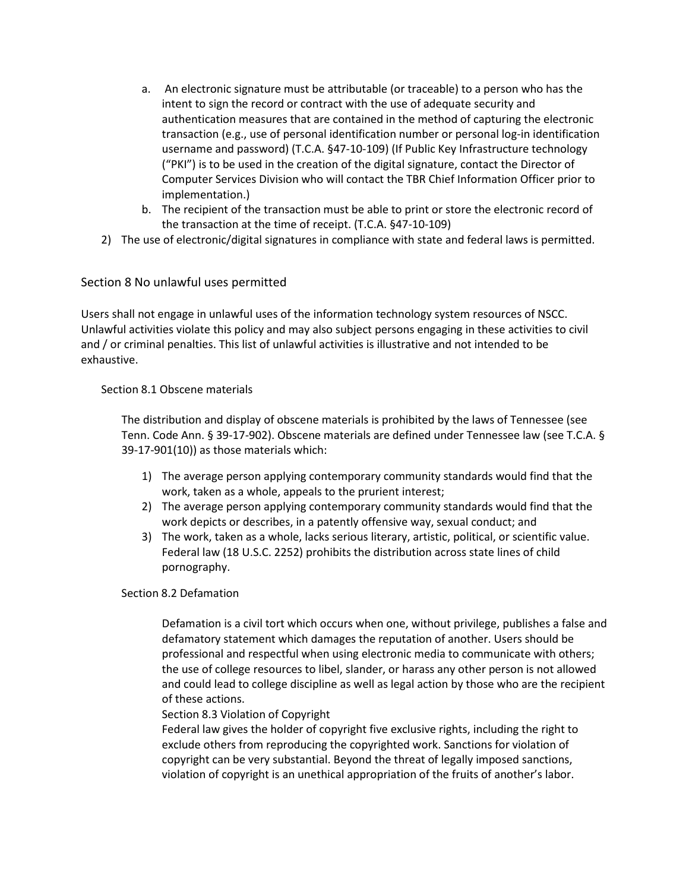- a. An electronic signature must be attributable (or traceable) to a person who has the intent to sign the record or contract with the use of adequate security and authentication measures that are contained in the method of capturing the electronic transaction (e.g., use of personal identification number or personal log-in identification username and password) (T.C.A. §47-10-109) (If Public Key Infrastructure technology ("PKI") is to be used in the creation of the digital signature, contact the Director of Computer Services Division who will contact the TBR Chief Information Officer prior to implementation.)
- b. The recipient of the transaction must be able to print or store the electronic record of the transaction at the time of receipt. (T.C.A. §47-10-109)
- 2) The use of electronic/digital signatures in compliance with state and federal laws is permitted.

# Section 8 No unlawful uses permitted

Users shall not engage in unlawful uses of the information technology system resources of NSCC. Unlawful activities violate this policy and may also subject persons engaging in these activities to civil and / or criminal penalties. This list of unlawful activities is illustrative and not intended to be exhaustive.

## Section 8.1 Obscene materials

The distribution and display of obscene materials is prohibited by the laws of Tennessee (see Tenn. Code Ann. § 39-17-902). Obscene materials are defined under Tennessee law (see T.C.A. § 39-17-901(10)) as those materials which:

- 1) The average person applying contemporary community standards would find that the work, taken as a whole, appeals to the prurient interest;
- 2) The average person applying contemporary community standards would find that the work depicts or describes, in a patently offensive way, sexual conduct; and
- 3) The work, taken as a whole, lacks serious literary, artistic, political, or scientific value. Federal law (18 U.S.C. 2252) prohibits the distribution across state lines of child pornography.

### Section 8.2 Defamation

Defamation is a civil tort which occurs when one, without privilege, publishes a false and defamatory statement which damages the reputation of another. Users should be professional and respectful when using electronic media to communicate with others; the use of college resources to libel, slander, or harass any other person is not allowed and could lead to college discipline as well as legal action by those who are the recipient of these actions.

### Section 8.3 Violation of Copyright

Federal law gives the holder of copyright five exclusive rights, including the right to exclude others from reproducing the copyrighted work. Sanctions for violation of copyright can be very substantial. Beyond the threat of legally imposed sanctions, violation of copyright is an unethical appropriation of the fruits of another's labor.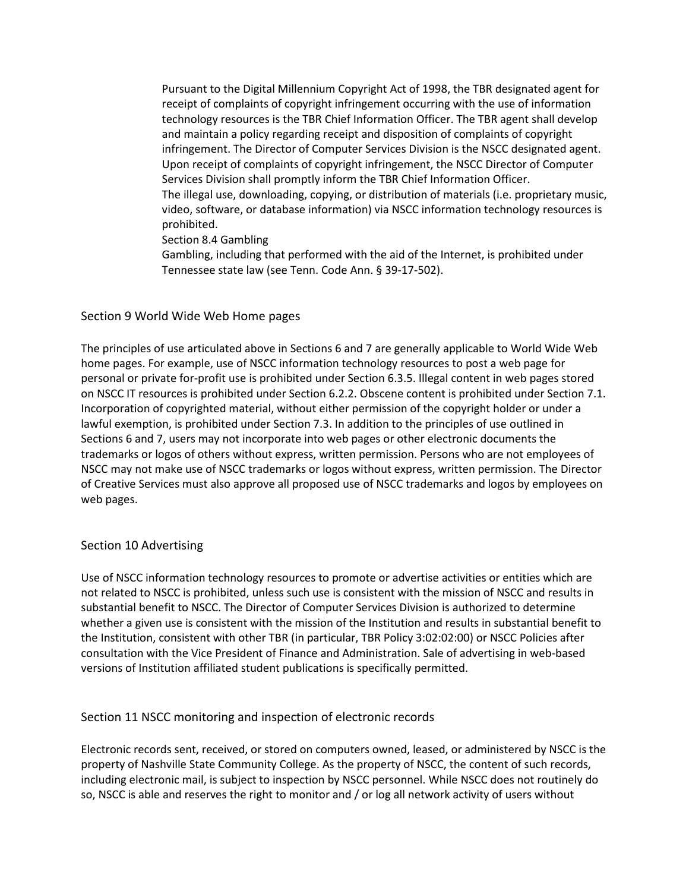Pursuant to the Digital Millennium Copyright Act of 1998, the TBR designated agent for receipt of complaints of copyright infringement occurring with the use of information technology resources is the TBR Chief Information Officer. The TBR agent shall develop and maintain a policy regarding receipt and disposition of complaints of copyright infringement. The Director of Computer Services Division is the NSCC designated agent. Upon receipt of complaints of copyright infringement, the NSCC Director of Computer Services Division shall promptly inform the TBR Chief Information Officer. The illegal use, downloading, copying, or distribution of materials (i.e. proprietary music, video, software, or database information) via NSCC information technology resources is prohibited.

Section 8.4 Gambling

Gambling, including that performed with the aid of the Internet, is prohibited under Tennessee state law (see Tenn. Code Ann. § 39-17-502).

## Section 9 World Wide Web Home pages

The principles of use articulated above in Sections 6 and 7 are generally applicable to World Wide Web home pages. For example, use of NSCC information technology resources to post a web page for personal or private for-profit use is prohibited under Section 6.3.5. Illegal content in web pages stored on NSCC IT resources is prohibited under Section 6.2.2. Obscene content is prohibited under Section 7.1. Incorporation of copyrighted material, without either permission of the copyright holder or under a lawful exemption, is prohibited under Section 7.3. In addition to the principles of use outlined in Sections 6 and 7, users may not incorporate into web pages or other electronic documents the trademarks or logos of others without express, written permission. Persons who are not employees of NSCC may not make use of NSCC trademarks or logos without express, written permission. The Director of Creative Services must also approve all proposed use of NSCC trademarks and logos by employees on web pages.

### Section 10 Advertising

Use of NSCC information technology resources to promote or advertise activities or entities which are not related to NSCC is prohibited, unless such use is consistent with the mission of NSCC and results in substantial benefit to NSCC. The Director of Computer Services Division is authorized to determine whether a given use is consistent with the mission of the Institution and results in substantial benefit to the Institution, consistent with other TBR (in particular, TBR Policy 3:02:02:00) or NSCC Policies after consultation with the Vice President of Finance and Administration. Sale of advertising in web-based versions of Institution affiliated student publications is specifically permitted.

# Section 11 NSCC monitoring and inspection of electronic records

Electronic records sent, received, or stored on computers owned, leased, or administered by NSCC is the property of Nashville State Community College. As the property of NSCC, the content of such records, including electronic mail, is subject to inspection by NSCC personnel. While NSCC does not routinely do so, NSCC is able and reserves the right to monitor and / or log all network activity of users without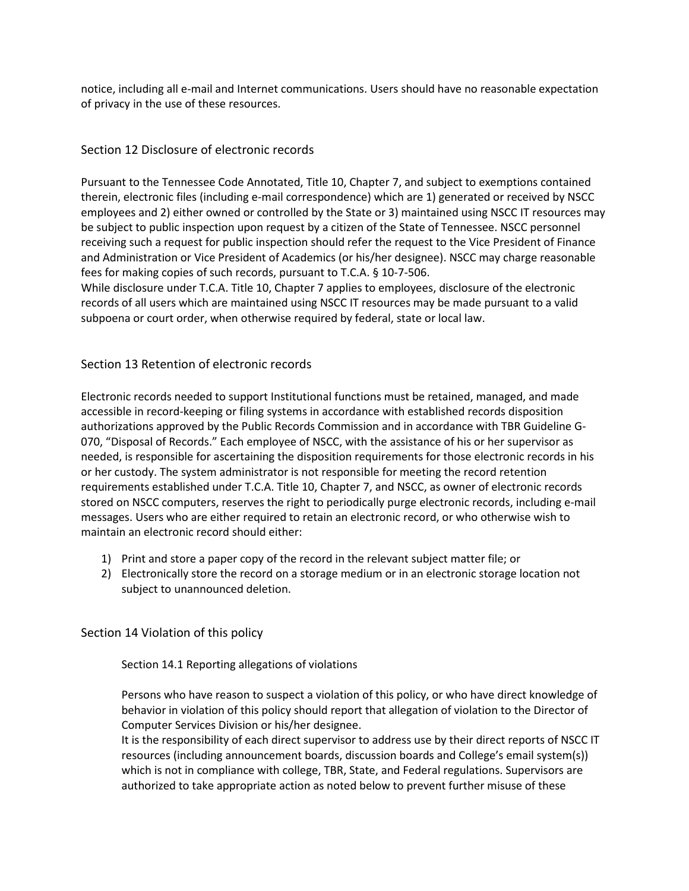notice, including all e-mail and Internet communications. Users should have no reasonable expectation of privacy in the use of these resources.

# Section 12 Disclosure of electronic records

Pursuant to the Tennessee Code Annotated, Title 10, Chapter 7, and subject to exemptions contained therein, electronic files (including e-mail correspondence) which are 1) generated or received by NSCC employees and 2) either owned or controlled by the State or 3) maintained using NSCC IT resources may be subject to public inspection upon request by a citizen of the State of Tennessee. NSCC personnel receiving such a request for public inspection should refer the request to the Vice President of Finance and Administration or Vice President of Academics (or his/her designee). NSCC may charge reasonable fees for making copies of such records, pursuant to T.C.A. § 10-7-506.

While disclosure under T.C.A. Title 10, Chapter 7 applies to employees, disclosure of the electronic records of all users which are maintained using NSCC IT resources may be made pursuant to a valid subpoena or court order, when otherwise required by federal, state or local law.

# Section 13 Retention of electronic records

Electronic records needed to support Institutional functions must be retained, managed, and made accessible in record-keeping or filing systems in accordance with established records disposition authorizations approved by the Public Records Commission and in accordance with TBR Guideline G-070, "Disposal of Records." Each employee of NSCC, with the assistance of his or her supervisor as needed, is responsible for ascertaining the disposition requirements for those electronic records in his or her custody. The system administrator is not responsible for meeting the record retention requirements established under T.C.A. Title 10, Chapter 7, and NSCC, as owner of electronic records stored on NSCC computers, reserves the right to periodically purge electronic records, including e-mail messages. Users who are either required to retain an electronic record, or who otherwise wish to maintain an electronic record should either:

- 1) Print and store a paper copy of the record in the relevant subject matter file; or
- 2) Electronically store the record on a storage medium or in an electronic storage location not subject to unannounced deletion.

# Section 14 Violation of this policy

Section 14.1 Reporting allegations of violations

Persons who have reason to suspect a violation of this policy, or who have direct knowledge of behavior in violation of this policy should report that allegation of violation to the Director of Computer Services Division or his/her designee.

It is the responsibility of each direct supervisor to address use by their direct reports of NSCC IT resources (including announcement boards, discussion boards and College's email system(s)) which is not in compliance with college, TBR, State, and Federal regulations. Supervisors are authorized to take appropriate action as noted below to prevent further misuse of these